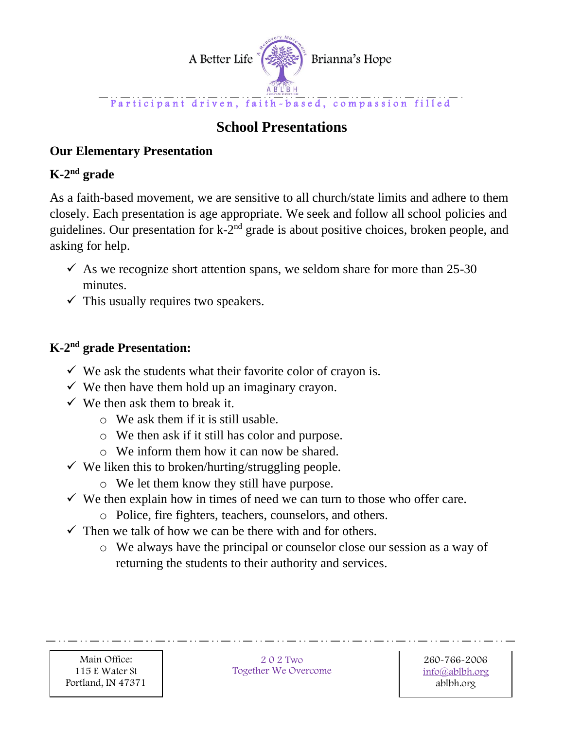

# **School Presentations**

# **Our Elementary Presentation**

# **K-2 nd grade**

As a faith-based movement, we are sensitive to all church/state limits and adhere to them closely. Each presentation is age appropriate. We seek and follow all school policies and guidelines. Our presentation for k-2<sup>nd</sup> grade is about positive choices, broken people, and asking for help.

- $\checkmark$  As we recognize short attention spans, we seldom share for more than 25-30 minutes.
- $\checkmark$  This usually requires two speakers.

# **K-2 nd grade Presentation:**

- $\checkmark$  We ask the students what their favorite color of crayon is.
- $\checkmark$  We then have them hold up an imaginary crayon.
- $\checkmark$  We then ask them to break it.
	- o We ask them if it is still usable.
	- o We then ask if it still has color and purpose.
	- o We inform them how it can now be shared.
- $\checkmark$  We liken this to broken/hurting/struggling people.
	- o We let them know they still have purpose.
- $\checkmark$  We then explain how in times of need we can turn to those who offer care.
	- o Police, fire fighters, teachers, counselors, and others.
- $\checkmark$  Then we talk of how we can be there with and for others.
	- o We always have the principal or counselor close our session as a way of returning the students to their authority and services.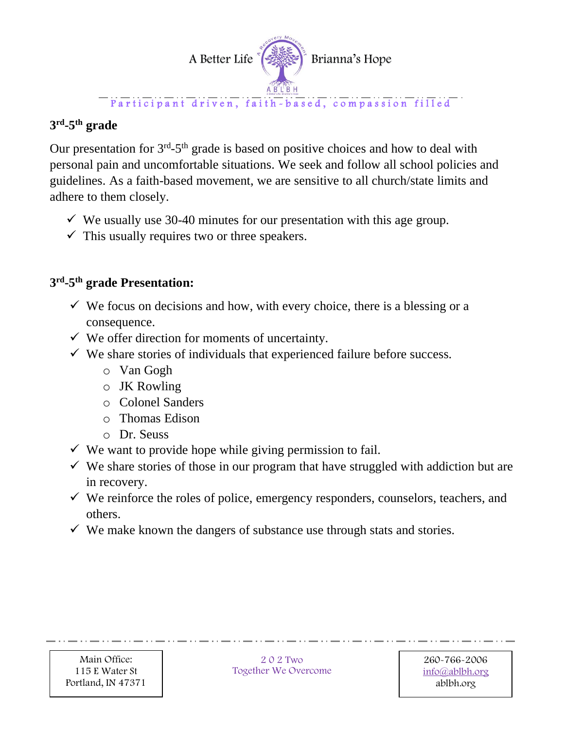

#### $-$  Participant driven, faith-based, compassion filled

# **3 rd -5 th grade**

Our presentation for  $3<sup>rd</sup> - 5<sup>th</sup>$  grade is based on positive choices and how to deal with personal pain and uncomfortable situations. We seek and follow all school policies and guidelines. As a faith-based movement, we are sensitive to all church/state limits and adhere to them closely.

- $\checkmark$  We usually use 30-40 minutes for our presentation with this age group.
- $\checkmark$  This usually requires two or three speakers.

#### **3 rd -5 th grade Presentation:**

- $\checkmark$  We focus on decisions and how, with every choice, there is a blessing or a consequence.
- $\checkmark$  We offer direction for moments of uncertainty.
- $\checkmark$  We share stories of individuals that experienced failure before success.
	- o Van Gogh
	- o JK Rowling
	- o Colonel Sanders
	- o Thomas Edison
	- o Dr. Seuss
- $\checkmark$  We want to provide hope while giving permission to fail.
- $\checkmark$  We share stories of those in our program that have struggled with addiction but are in recovery.
- $\checkmark$  We reinforce the roles of police, emergency responders, counselors, teachers, and others.
- $\checkmark$  We make known the dangers of substance use through stats and stories.